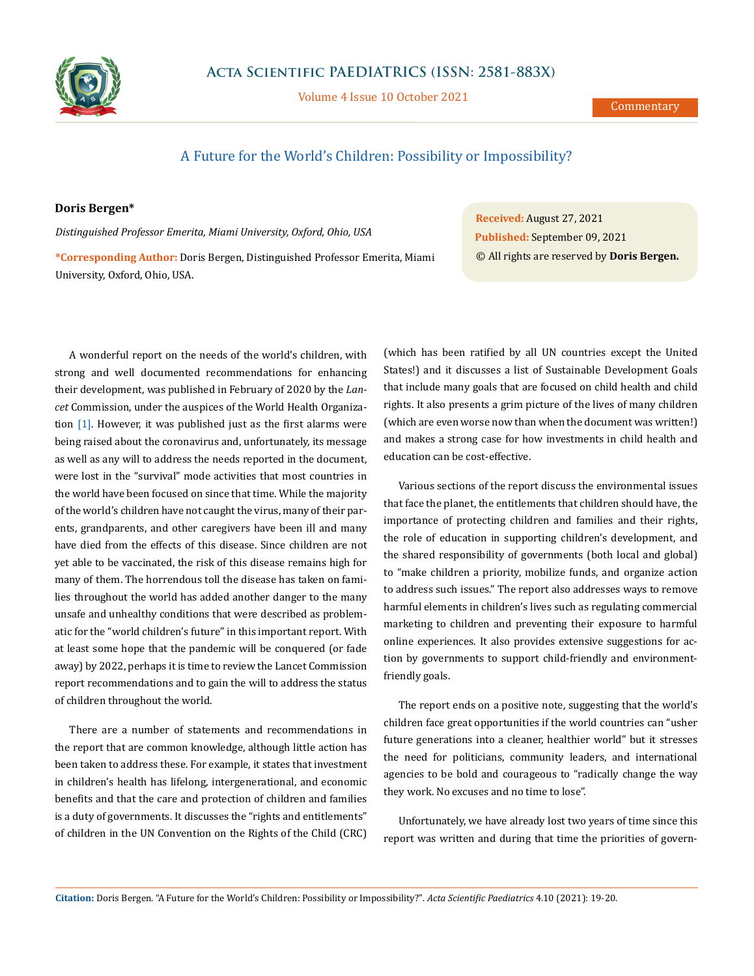

Volume 4 Issue 10 October 2021

## A Future for the World's Children: Possibility or Impossibility?

## **Doris Bergen\***

*Distinguished Professor Emerita, Miami University, Oxford, Ohio, USA*

**\*Corresponding Author:** Doris Bergen, Distinguished Professor Emerita, Miami University, Oxford, Ohio, USA.

A wonderful report on the needs of the world's children, with strong and well documented recommendations for enhancing their development, was published in February of 2020 by the *Lancet* Commission, under the auspices of the World Health Organization [1]. However, it was published just as the first alarms were being raised about the coronavirus and, unfortunately, its message as well as any will to address the needs reported in the document, were lost in the "survival" mode activities that most countries in the world have been focused on since that time. While the majority of the world's children have not caught the virus, many of their parents, grandparents, and other caregivers have been ill and many have died from the effects of this disease. Since children are not yet able to be vaccinated, the risk of this disease remains high for many of them. The horrendous toll the disease has taken on families throughout the world has added another danger to the many unsafe and unhealthy conditions that were described as problematic for the "world children's future" in this important report. With at least some hope that the pandemic will be conquered (or fade away) by 2022, perhaps it is time to review the Lancet Commission report recommendations and to gain the will to address the status of children throughout the world.

There are a number of statements and recommendations in the report that are common knowledge, although little action has been taken to address these. For example, it states that investment in children's health has lifelong, intergenerational, and economic benefits and that the care and protection of children and families is a duty of governments. It discusses the "rights and entitlements" of children in the UN Convention on the Rights of the Child (CRC)

**Received:** August 27, 2021 **Published:** September 09, 2021 © All rights are reserved by **Doris Bergen.**

(which has been ratified by all UN countries except the United States!) and it discusses a list of Sustainable Development Goals that include many goals that are focused on child health and child rights. It also presents a grim picture of the lives of many children (which are even worse now than when the document was written!) and makes a strong case for how investments in child health and education can be cost-effective.

Various sections of the report discuss the environmental issues that face the planet, the entitlements that children should have, the importance of protecting children and families and their rights, the role of education in supporting children's development, and the shared responsibility of governments (both local and global) to "make children a priority, mobilize funds, and organize action to address such issues." The report also addresses ways to remove harmful elements in children's lives such as regulating commercial marketing to children and preventing their exposure to harmful online experiences. It also provides extensive suggestions for action by governments to support child-friendly and environmentfriendly goals.

The report ends on a positive note, suggesting that the world's children face great opportunities if the world countries can "usher future generations into a cleaner, healthier world" but it stresses the need for politicians, community leaders, and international agencies to be bold and courageous to "radically change the way they work. No excuses and no time to lose".

Unfortunately, we have already lost two years of time since this report was written and during that time the priorities of govern